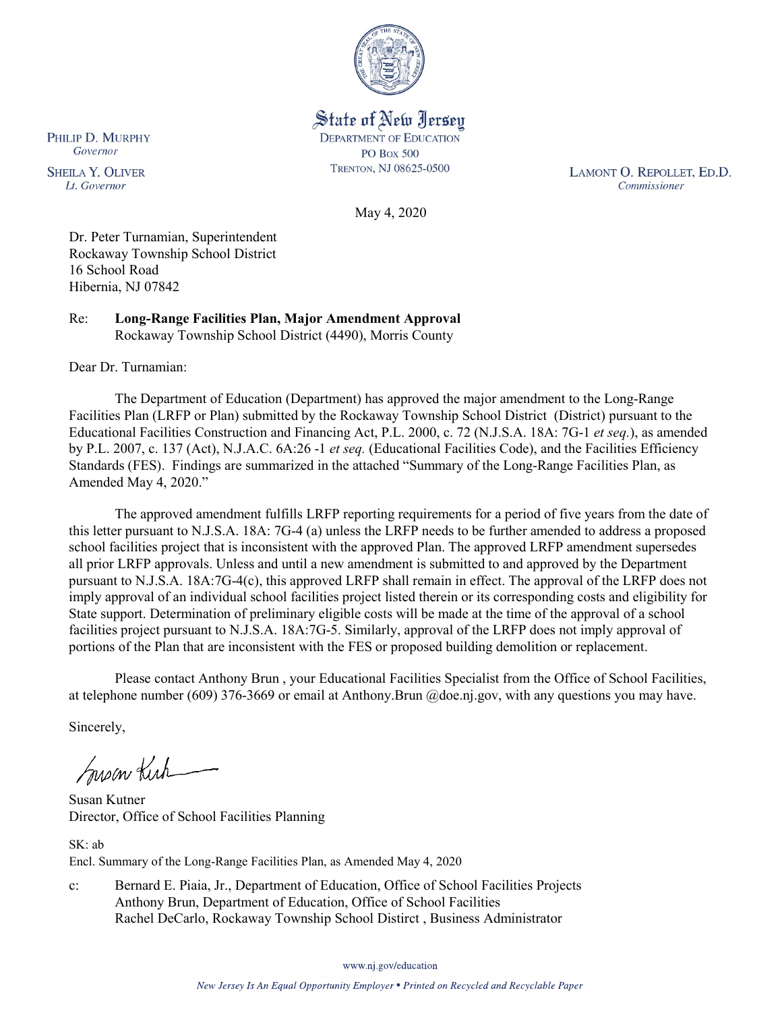

State of New Jersey **DEPARTMENT OF EDUCATION PO Box 500** TRENTON, NJ 08625-0500

LAMONT O. REPOLLET, ED.D. Commissioner

May 4, 2020

Dr. Peter Turnamian, Superintendent Rockaway Township School District 16 School Road Hibernia, NJ 07842

Re: **Long-Range Facilities Plan, Major Amendment Approval** Rockaway Township School District (4490), Morris County

Dear Dr. Turnamian:

The Department of Education (Department) has approved the major amendment to the Long-Range Facilities Plan (LRFP or Plan) submitted by the Rockaway Township School District (District) pursuant to the Educational Facilities Construction and Financing Act, P.L. 2000, c. 72 (N.J.S.A. 18A: 7G-1 *et seq.*), as amended by P.L. 2007, c. 137 (Act), N.J.A.C. 6A:26 -1 *et seq.* (Educational Facilities Code), and the Facilities Efficiency Standards (FES). Findings are summarized in the attached "Summary of the Long-Range Facilities Plan, as Amended May 4, 2020."

The approved amendment fulfills LRFP reporting requirements for a period of five years from the date of this letter pursuant to N.J.S.A. 18A: 7G-4 (a) unless the LRFP needs to be further amended to address a proposed school facilities project that is inconsistent with the approved Plan. The approved LRFP amendment supersedes all prior LRFP approvals. Unless and until a new amendment is submitted to and approved by the Department pursuant to N.J.S.A. 18A:7G-4(c), this approved LRFP shall remain in effect. The approval of the LRFP does not imply approval of an individual school facilities project listed therein or its corresponding costs and eligibility for State support. Determination of preliminary eligible costs will be made at the time of the approval of a school facilities project pursuant to N.J.S.A. 18A:7G-5. Similarly, approval of the LRFP does not imply approval of portions of the Plan that are inconsistent with the FES or proposed building demolition or replacement.

Please contact Anthony Brun , your Educational Facilities Specialist from the Office of School Facilities, at telephone number (609) 376-3669 or email at Anthony.Brun @doe.nj.gov, with any questions you may have.

Sincerely,

Susan Kich

Susan Kutner Director, Office of School Facilities Planning

SK: ab Encl. Summary of the Long-Range Facilities Plan, as Amended May 4, 2020

c: Bernard E. Piaia, Jr., Department of Education, Office of School Facilities Projects Anthony Brun, Department of Education, Office of School Facilities Rachel DeCarlo, Rockaway Township School Distirct , Business Administrator

www.nj.gov/education

PHILIP D. MURPHY Governor

**SHEILA Y. OLIVER** Lt. Governor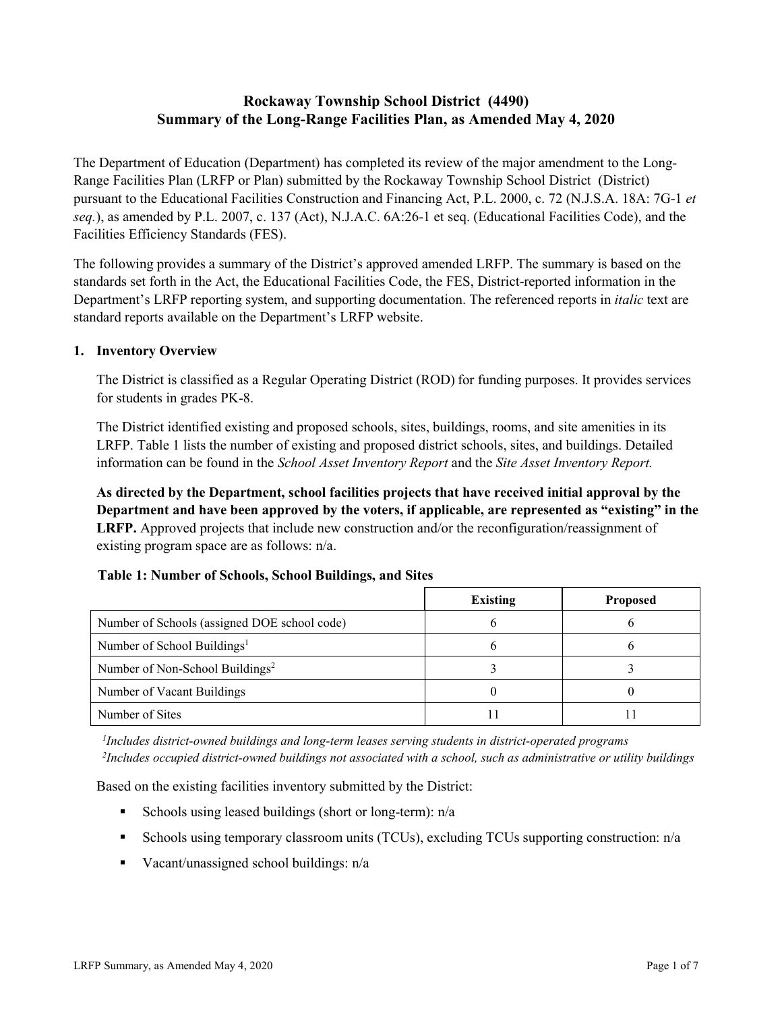# **Rockaway Township School District (4490) Summary of the Long-Range Facilities Plan, as Amended May 4, 2020**

The Department of Education (Department) has completed its review of the major amendment to the Long-Range Facilities Plan (LRFP or Plan) submitted by the Rockaway Township School District (District) pursuant to the Educational Facilities Construction and Financing Act, P.L. 2000, c. 72 (N.J.S.A. 18A: 7G-1 *et seq.*), as amended by P.L. 2007, c. 137 (Act), N.J.A.C. 6A:26-1 et seq. (Educational Facilities Code), and the Facilities Efficiency Standards (FES).

The following provides a summary of the District's approved amended LRFP. The summary is based on the standards set forth in the Act, the Educational Facilities Code, the FES, District-reported information in the Department's LRFP reporting system, and supporting documentation. The referenced reports in *italic* text are standard reports available on the Department's LRFP website.

## **1. Inventory Overview**

The District is classified as a Regular Operating District (ROD) for funding purposes. It provides services for students in grades PK-8.

The District identified existing and proposed schools, sites, buildings, rooms, and site amenities in its LRFP. Table 1 lists the number of existing and proposed district schools, sites, and buildings. Detailed information can be found in the *School Asset Inventory Report* and the *Site Asset Inventory Report.*

**As directed by the Department, school facilities projects that have received initial approval by the Department and have been approved by the voters, if applicable, are represented as "existing" in the LRFP.** Approved projects that include new construction and/or the reconfiguration/reassignment of existing program space are as follows: n/a.

|  |  | Table 1: Number of Schools, School Buildings, and Sites |  |
|--|--|---------------------------------------------------------|--|
|--|--|---------------------------------------------------------|--|

|                                              | <b>Existing</b> | <b>Proposed</b> |
|----------------------------------------------|-----------------|-----------------|
| Number of Schools (assigned DOE school code) |                 |                 |
| Number of School Buildings <sup>1</sup>      |                 |                 |
| Number of Non-School Buildings <sup>2</sup>  |                 |                 |
| Number of Vacant Buildings                   |                 |                 |
| Number of Sites                              |                 |                 |

*1 Includes district-owned buildings and long-term leases serving students in district-operated programs 2 Includes occupied district-owned buildings not associated with a school, such as administrative or utility buildings*

Based on the existing facilities inventory submitted by the District:

- Schools using leased buildings (short or long-term):  $n/a$
- Schools using temporary classroom units (TCUs), excluding TCUs supporting construction: n/a
- Vacant/unassigned school buildings:  $n/a$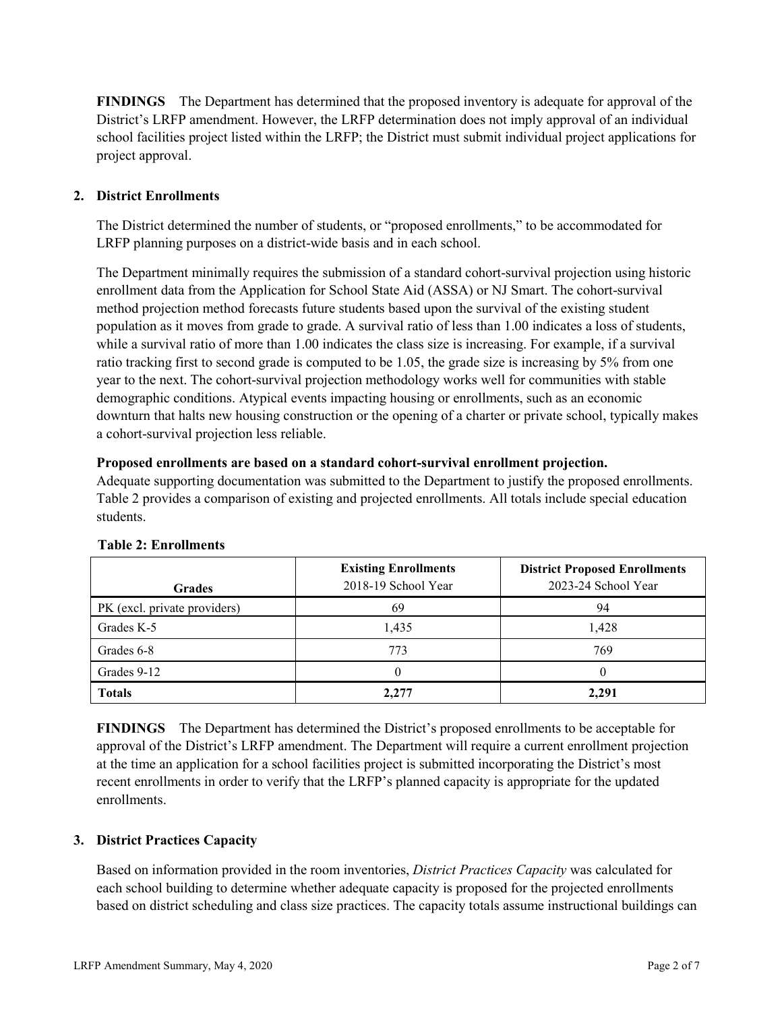**FINDINGS** The Department has determined that the proposed inventory is adequate for approval of the District's LRFP amendment. However, the LRFP determination does not imply approval of an individual school facilities project listed within the LRFP; the District must submit individual project applications for project approval.

## **2. District Enrollments**

The District determined the number of students, or "proposed enrollments," to be accommodated for LRFP planning purposes on a district-wide basis and in each school.

The Department minimally requires the submission of a standard cohort-survival projection using historic enrollment data from the Application for School State Aid (ASSA) or NJ Smart. The cohort-survival method projection method forecasts future students based upon the survival of the existing student population as it moves from grade to grade. A survival ratio of less than 1.00 indicates a loss of students, while a survival ratio of more than 1.00 indicates the class size is increasing. For example, if a survival ratio tracking first to second grade is computed to be 1.05, the grade size is increasing by 5% from one year to the next. The cohort-survival projection methodology works well for communities with stable demographic conditions. Atypical events impacting housing or enrollments, such as an economic downturn that halts new housing construction or the opening of a charter or private school, typically makes a cohort-survival projection less reliable.

#### **Proposed enrollments are based on a standard cohort-survival enrollment projection.**

Adequate supporting documentation was submitted to the Department to justify the proposed enrollments. Table 2 provides a comparison of existing and projected enrollments. All totals include special education students.

|                              | <b>Existing Enrollments</b> | <b>District Proposed Enrollments</b> |
|------------------------------|-----------------------------|--------------------------------------|
| <b>Grades</b>                | 2018-19 School Year         | 2023-24 School Year                  |
| PK (excl. private providers) | 69                          | 94                                   |
| Grades K-5                   | 1,435                       | 1,428                                |
| Grades 6-8                   | 773                         | 769                                  |
| Grades 9-12                  |                             |                                      |
| <b>Totals</b>                | 2.277                       | 2,291                                |

#### **Table 2: Enrollments**

**FINDINGS** The Department has determined the District's proposed enrollments to be acceptable for approval of the District's LRFP amendment. The Department will require a current enrollment projection at the time an application for a school facilities project is submitted incorporating the District's most recent enrollments in order to verify that the LRFP's planned capacity is appropriate for the updated enrollments.

#### **3. District Practices Capacity**

Based on information provided in the room inventories, *District Practices Capacity* was calculated for each school building to determine whether adequate capacity is proposed for the projected enrollments based on district scheduling and class size practices. The capacity totals assume instructional buildings can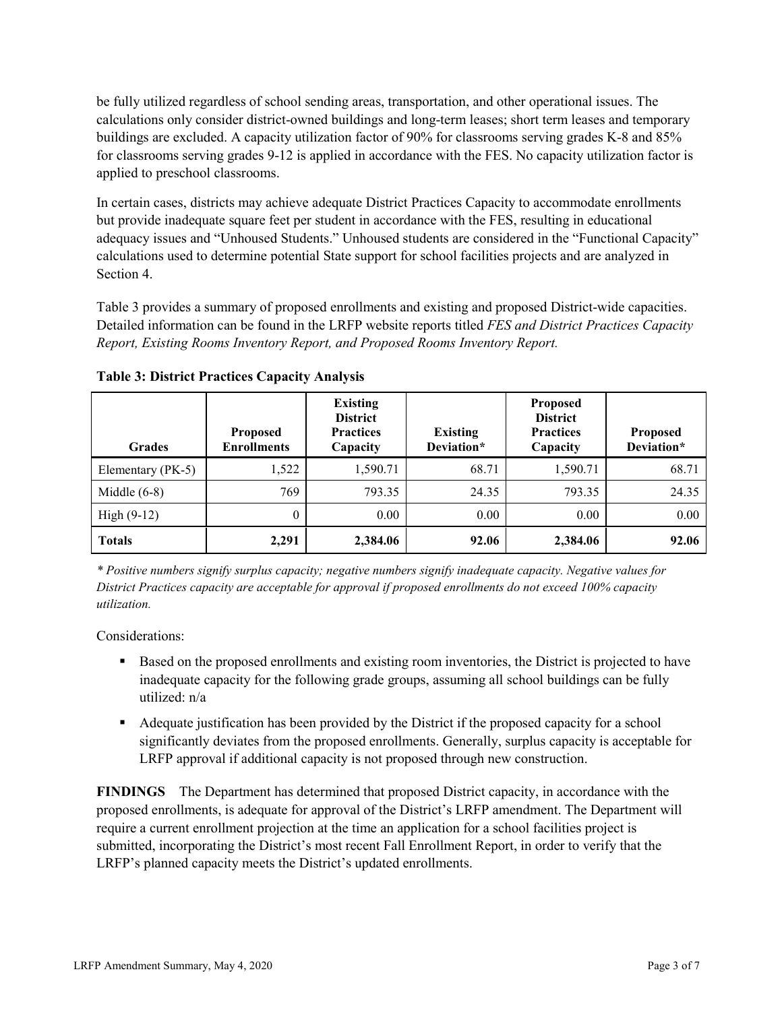be fully utilized regardless of school sending areas, transportation, and other operational issues. The calculations only consider district-owned buildings and long-term leases; short term leases and temporary buildings are excluded. A capacity utilization factor of 90% for classrooms serving grades K-8 and 85% for classrooms serving grades 9-12 is applied in accordance with the FES. No capacity utilization factor is applied to preschool classrooms.

In certain cases, districts may achieve adequate District Practices Capacity to accommodate enrollments but provide inadequate square feet per student in accordance with the FES, resulting in educational adequacy issues and "Unhoused Students." Unhoused students are considered in the "Functional Capacity" calculations used to determine potential State support for school facilities projects and are analyzed in Section 4.

Table 3 provides a summary of proposed enrollments and existing and proposed District-wide capacities. Detailed information can be found in the LRFP website reports titled *FES and District Practices Capacity Report, Existing Rooms Inventory Report, and Proposed Rooms Inventory Report.*

| <b>Grades</b>     | <b>Proposed</b><br><b>Enrollments</b> | <b>Existing</b><br><b>District</b><br><b>Practices</b><br>Capacity | <b>Existing</b><br>Deviation* | <b>Proposed</b><br><b>District</b><br><b>Practices</b><br>Capacity | Proposed<br>Deviation* |
|-------------------|---------------------------------------|--------------------------------------------------------------------|-------------------------------|--------------------------------------------------------------------|------------------------|
| Elementary (PK-5) | 1,522                                 | 1,590.71                                                           | 68.71                         | 1,590.71                                                           | 68.71                  |
| Middle $(6-8)$    | 769                                   | 793.35                                                             | 24.35                         | 793.35                                                             | 24.35                  |
| High $(9-12)$     | $\theta$                              | 0.00                                                               | 0.00                          | 0.00                                                               | 0.00                   |
| <b>Totals</b>     | 2,291                                 | 2,384.06                                                           | 92.06                         | 2,384.06                                                           | 92.06                  |

**Table 3: District Practices Capacity Analysis**

*\* Positive numbers signify surplus capacity; negative numbers signify inadequate capacity. Negative values for District Practices capacity are acceptable for approval if proposed enrollments do not exceed 100% capacity utilization.*

Considerations:

- **Based on the proposed enrollments and existing room inventories, the District is projected to have** inadequate capacity for the following grade groups, assuming all school buildings can be fully utilized: n/a
- Adequate justification has been provided by the District if the proposed capacity for a school significantly deviates from the proposed enrollments. Generally, surplus capacity is acceptable for LRFP approval if additional capacity is not proposed through new construction.

**FINDINGS**The Department has determined that proposed District capacity, in accordance with the proposed enrollments, is adequate for approval of the District's LRFP amendment. The Department will require a current enrollment projection at the time an application for a school facilities project is submitted, incorporating the District's most recent Fall Enrollment Report, in order to verify that the LRFP's planned capacity meets the District's updated enrollments.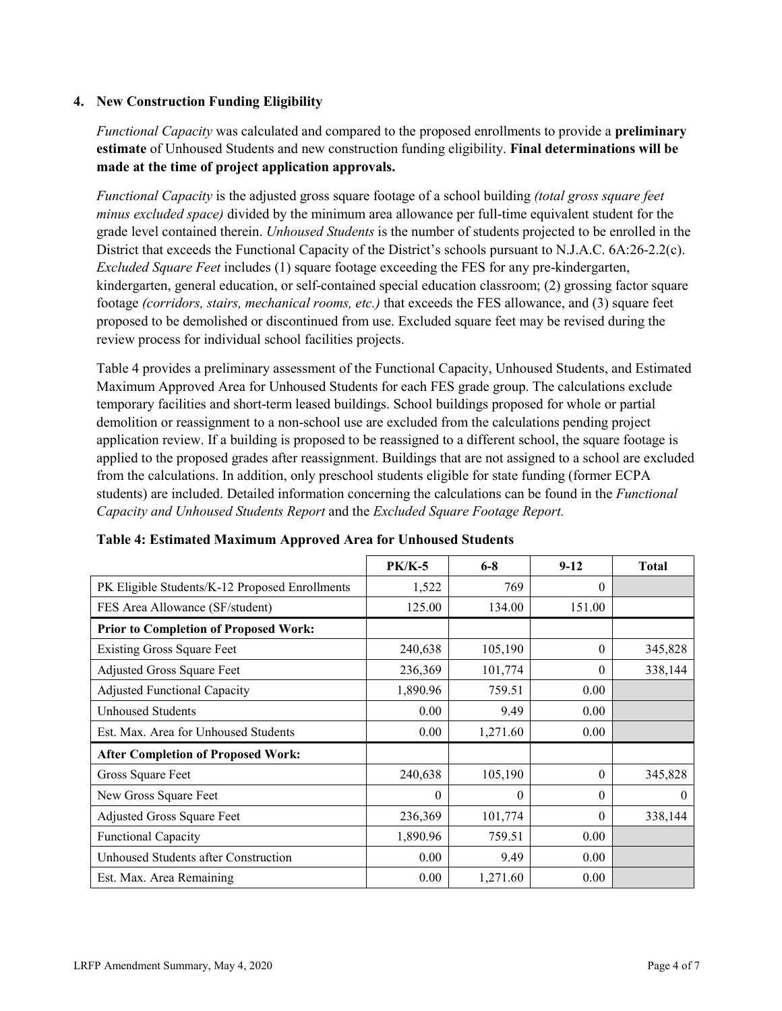## **4. New Construction Funding Eligibility**

*Functional Capacity* was calculated and compared to the proposed enrollments to provide a **preliminary estimate** of Unhoused Students and new construction funding eligibility. **Final determinations will be made at the time of project application approvals.**

*Functional Capacity* is the adjusted gross square footage of a school building *(total gross square feet minus excluded space)* divided by the minimum area allowance per full-time equivalent student for the grade level contained therein. *Unhoused Students* is the number of students projected to be enrolled in the District that exceeds the Functional Capacity of the District's schools pursuant to N.J.A.C. 6A:26-2.2(c). *Excluded Square Feet* includes (1) square footage exceeding the FES for any pre-kindergarten, kindergarten, general education, or self-contained special education classroom; (2) grossing factor square footage *(corridors, stairs, mechanical rooms, etc.)* that exceeds the FES allowance, and (3) square feet proposed to be demolished or discontinued from use. Excluded square feet may be revised during the review process for individual school facilities projects.

Table 4 provides a preliminary assessment of the Functional Capacity, Unhoused Students, and Estimated Maximum Approved Area for Unhoused Students for each FES grade group. The calculations exclude temporary facilities and short-term leased buildings. School buildings proposed for whole or partial demolition or reassignment to a non-school use are excluded from the calculations pending project application review. If a building is proposed to be reassigned to a different school, the square footage is applied to the proposed grades after reassignment. Buildings that are not assigned to a school are excluded from the calculations. In addition, only preschool students eligible for state funding (former ECPA students) are included. Detailed information concerning the calculations can be found in the *Functional Capacity and Unhoused Students Report* and the *Excluded Square Footage Report.*

|                                                | $PK/K-5$ | $6 - 8$  | $9 - 12$ | <b>Total</b> |
|------------------------------------------------|----------|----------|----------|--------------|
| PK Eligible Students/K-12 Proposed Enrollments | 1,522    | 769      | $\Omega$ |              |
| FES Area Allowance (SF/student)                | 125.00   | 134.00   | 151.00   |              |
| <b>Prior to Completion of Proposed Work:</b>   |          |          |          |              |
| <b>Existing Gross Square Feet</b>              | 240,638  | 105,190  | $\Omega$ | 345,828      |
| Adjusted Gross Square Feet                     | 236,369  | 101,774  | $\theta$ | 338,144      |
| <b>Adjusted Functional Capacity</b>            | 1,890.96 | 759.51   | 0.00     |              |
| Unhoused Students                              | 0.00     | 9.49     | 0.00     |              |
| Est. Max. Area for Unhoused Students           | 0.00     | 1,271.60 | 0.00     |              |
| <b>After Completion of Proposed Work:</b>      |          |          |          |              |
| Gross Square Feet                              | 240,638  | 105,190  | $\theta$ | 345,828      |
| New Gross Square Feet                          | $\theta$ | $\theta$ | $\theta$ | $\theta$     |
| Adjusted Gross Square Feet                     | 236,369  | 101,774  | $\Omega$ | 338,144      |
| Functional Capacity                            | 1,890.96 | 759.51   | 0.00     |              |
| Unhoused Students after Construction           | 0.00     | 9.49     | 0.00     |              |
| Est. Max. Area Remaining                       | 0.00     | 1,271.60 | 0.00     |              |

**Table 4: Estimated Maximum Approved Area for Unhoused Students**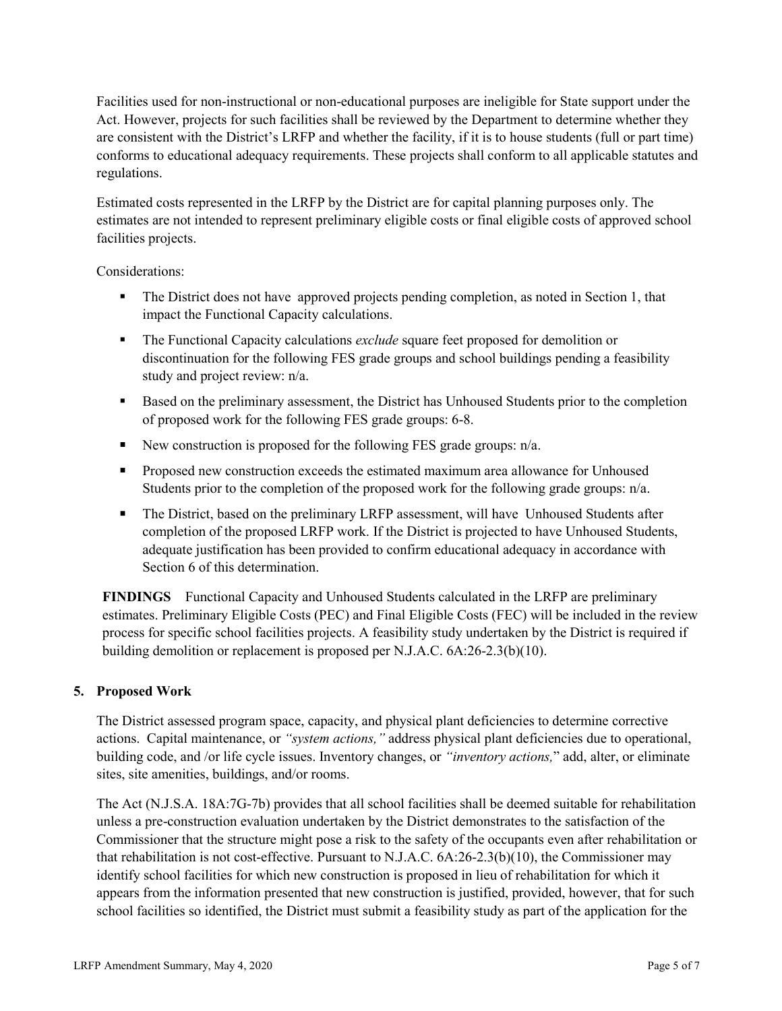Facilities used for non-instructional or non-educational purposes are ineligible for State support under the Act. However, projects for such facilities shall be reviewed by the Department to determine whether they are consistent with the District's LRFP and whether the facility, if it is to house students (full or part time) conforms to educational adequacy requirements. These projects shall conform to all applicable statutes and regulations.

Estimated costs represented in the LRFP by the District are for capital planning purposes only. The estimates are not intended to represent preliminary eligible costs or final eligible costs of approved school facilities projects.

Considerations:

- The District does not have approved projects pending completion, as noted in Section 1, that impact the Functional Capacity calculations.
- The Functional Capacity calculations *exclude* square feet proposed for demolition or discontinuation for the following FES grade groups and school buildings pending a feasibility study and project review: n/a.
- Based on the preliminary assessment, the District has Unhoused Students prior to the completion of proposed work for the following FES grade groups: 6-8.
- New construction is proposed for the following FES grade groups:  $n/a$ .
- **Proposed new construction exceeds the estimated maximum area allowance for Unhoused** Students prior to the completion of the proposed work for the following grade groups: n/a.
- The District, based on the preliminary LRFP assessment, will have Unhoused Students after completion of the proposed LRFP work. If the District is projected to have Unhoused Students, adequate justification has been provided to confirm educational adequacy in accordance with Section 6 of this determination.

**FINDINGS** Functional Capacity and Unhoused Students calculated in the LRFP are preliminary estimates. Preliminary Eligible Costs (PEC) and Final Eligible Costs (FEC) will be included in the review process for specific school facilities projects. A feasibility study undertaken by the District is required if building demolition or replacement is proposed per N.J.A.C. 6A:26-2.3(b)(10).

## **5. Proposed Work**

The District assessed program space, capacity, and physical plant deficiencies to determine corrective actions. Capital maintenance, or *"system actions,"* address physical plant deficiencies due to operational, building code, and /or life cycle issues. Inventory changes, or *"inventory actions,*" add, alter, or eliminate sites, site amenities, buildings, and/or rooms.

The Act (N.J.S.A. 18A:7G-7b) provides that all school facilities shall be deemed suitable for rehabilitation unless a pre-construction evaluation undertaken by the District demonstrates to the satisfaction of the Commissioner that the structure might pose a risk to the safety of the occupants even after rehabilitation or that rehabilitation is not cost-effective. Pursuant to N.J.A.C. 6A:26-2.3(b)(10), the Commissioner may identify school facilities for which new construction is proposed in lieu of rehabilitation for which it appears from the information presented that new construction is justified, provided, however, that for such school facilities so identified, the District must submit a feasibility study as part of the application for the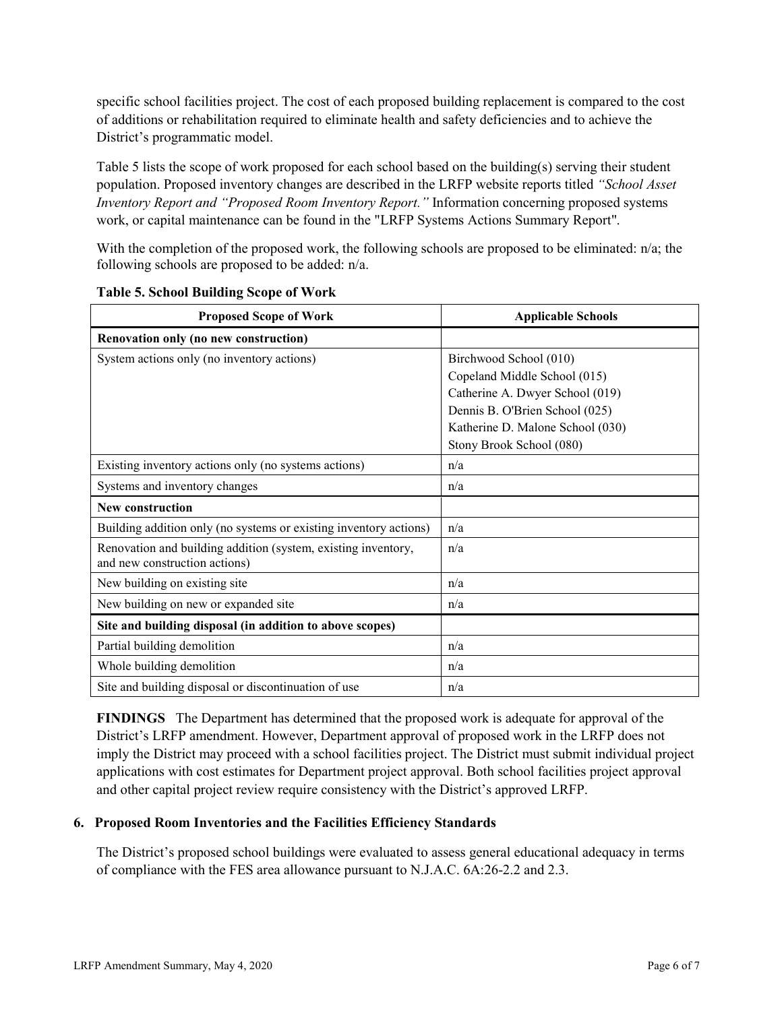specific school facilities project. The cost of each proposed building replacement is compared to the cost of additions or rehabilitation required to eliminate health and safety deficiencies and to achieve the District's programmatic model.

Table 5 lists the scope of work proposed for each school based on the building(s) serving their student population. Proposed inventory changes are described in the LRFP website reports titled *"School Asset Inventory Report and "Proposed Room Inventory Report."* Information concerning proposed systems work, or capital maintenance can be found in the "LRFP Systems Actions Summary Report".

With the completion of the proposed work, the following schools are proposed to be eliminated: n/a; the following schools are proposed to be added: n/a.

| <b>Proposed Scope of Work</b>                                                                  | <b>Applicable Schools</b>        |  |  |
|------------------------------------------------------------------------------------------------|----------------------------------|--|--|
| Renovation only (no new construction)                                                          |                                  |  |  |
| System actions only (no inventory actions)                                                     | Birchwood School (010)           |  |  |
|                                                                                                | Copeland Middle School (015)     |  |  |
|                                                                                                | Catherine A. Dwyer School (019)  |  |  |
|                                                                                                | Dennis B. O'Brien School (025)   |  |  |
|                                                                                                | Katherine D. Malone School (030) |  |  |
|                                                                                                | Stony Brook School (080)         |  |  |
| Existing inventory actions only (no systems actions)                                           | n/a                              |  |  |
| Systems and inventory changes                                                                  | n/a                              |  |  |
| <b>New construction</b>                                                                        |                                  |  |  |
| Building addition only (no systems or existing inventory actions)                              | n/a                              |  |  |
| Renovation and building addition (system, existing inventory,<br>and new construction actions) | n/a                              |  |  |
| New building on existing site                                                                  | n/a                              |  |  |
| New building on new or expanded site                                                           | n/a                              |  |  |
| Site and building disposal (in addition to above scopes)                                       |                                  |  |  |
| Partial building demolition                                                                    | n/a                              |  |  |
| Whole building demolition                                                                      | n/a                              |  |  |
| Site and building disposal or discontinuation of use                                           | n/a                              |  |  |

#### **Table 5. School Building Scope of Work**

**FINDINGS** The Department has determined that the proposed work is adequate for approval of the District's LRFP amendment. However, Department approval of proposed work in the LRFP does not imply the District may proceed with a school facilities project. The District must submit individual project applications with cost estimates for Department project approval. Both school facilities project approval and other capital project review require consistency with the District's approved LRFP.

#### **6. Proposed Room Inventories and the Facilities Efficiency Standards**

The District's proposed school buildings were evaluated to assess general educational adequacy in terms of compliance with the FES area allowance pursuant to N.J.A.C. 6A:26-2.2 and 2.3.